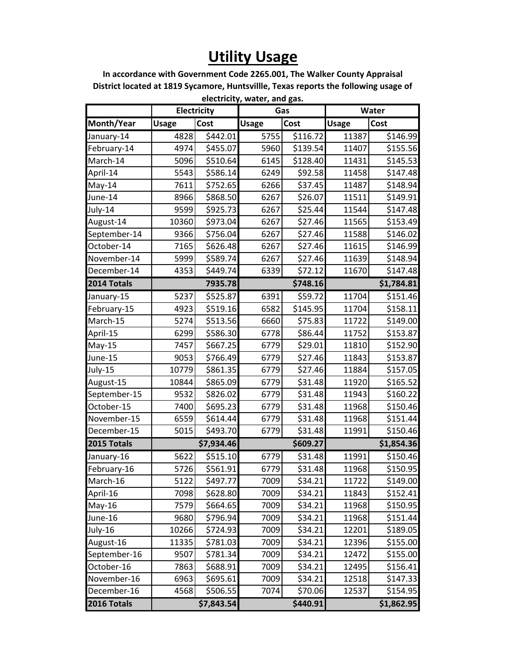## **Utility Usage**

**In accordance with Government Code 2265.001, The Walker County Appraisal District located at 1819 Sycamore, Huntsvillle, Texas reports the following usage of electricity, water, and gas.**

|              |              |             | CICCUTCILY, WALCT, ATIU BAS. |          |              |            |
|--------------|--------------|-------------|------------------------------|----------|--------------|------------|
|              |              | Electricity | Gas                          |          | Water        |            |
| Month/Year   | <b>Usage</b> | Cost        | <b>Usage</b>                 | Cost     | <b>Usage</b> | Cost       |
| January-14   | 4828         | \$442.01    | 5755                         | \$116.72 | 11387        | \$146.99   |
| February-14  | 4974         | \$455.07    | 5960                         | \$139.54 | 11407        | \$155.56   |
| March-14     | 5096         | \$510.64    | 6145                         | \$128.40 | 11431        | \$145.53   |
| April-14     | 5543         | \$586.14    | 6249                         | \$92.58  | 11458        | \$147.48   |
| May-14       | 7611         | \$752.65    | 6266                         | \$37.45  | 11487        | \$148.94   |
| June-14      | 8966         | \$868.50    | 6267                         | \$26.07  | 11511        | \$149.91   |
| July-14      | 9599         | \$925.73    | 6267                         | \$25.44  | 11544        | \$147.48   |
| August-14    | 10360        | \$973.04    | 6267                         | \$27.46  | 11565        | \$153.49   |
| September-14 | 9366         | \$756.04    | 6267                         | \$27.46  | 11588        | \$146.02   |
| October-14   | 7165         | \$626.48    | 6267                         | \$27.46  | 11615        | \$146.99   |
| November-14  | 5999         | \$589.74    | 6267                         | \$27.46  | 11639        | \$148.94   |
| December-14  | 4353         | \$449.74    | 6339                         | \$72.12  | 11670        | \$147.48   |
| 2014 Totals  |              | 7935.78     | \$748.16                     |          |              | \$1,784.81 |
| January-15   | 5237         | \$525.87    | 6391                         | \$59.72  | 11704        | \$151.46   |
| February-15  | 4923         | \$519.16    | 6582                         | \$145.95 | 11704        | \$158.11   |
| March-15     | 5274         | \$513.56    | 6660                         | \$75.83  | 11722        | \$149.00   |
| April-15     | 6299         | \$586.30    | 6778                         | \$86.44  | 11752        | \$153.87   |
| $May-15$     | 7457         | \$667.25    | 6779                         | \$29.01  | 11810        | \$152.90   |
| June-15      | 9053         | \$766.49    | 6779                         | \$27.46  | 11843        | \$153.87   |
| July-15      | 10779        | \$861.35    | 6779                         | \$27.46  | 11884        | \$157.05   |
| August-15    | 10844        | \$865.09    | 6779                         | \$31.48  | 11920        | \$165.52   |
| September-15 | 9532         | \$826.02    | 6779                         | \$31.48  | 11943        | \$160.22   |
| October-15   | 7400         | \$695.23    | 6779                         | \$31.48  | 11968        | \$150.46   |
| November-15  | 6559         | \$614.44    | 6779                         | \$31.48  | 11968        | \$151.44   |
| December-15  | 5015         | \$493.70    | 6779                         | \$31.48  | 11991        | \$150.46   |
| 2015 Totals  |              | \$7,934.46  |                              | \$609.27 |              | \$1,854.36 |
| January-16   | 5622         | \$515.10    | 6779                         | \$31.48  | 11991        | \$150.46   |
| February-16  | 5726         | \$561.91    | 6779                         | \$31.48  | 11968        | \$150.95   |
| March-16     | 5122         | \$497.77    | 7009                         | \$34.21  | 11722        | \$149.00   |
| April-16     | 7098         | \$628.80    | 7009                         | \$34.21  | 11843        | \$152.41   |
| $May-16$     | 7579         | \$664.65    | 7009                         | \$34.21  | 11968        | \$150.95   |
| June-16      | 9680         | \$796.94    | 7009                         | \$34.21  | 11968        | \$151.44   |
| July-16      | 10266        | \$724.93    | 7009                         | \$34.21  | 12201        | \$189.05   |
| August-16    | 11335        | \$781.03    | 7009                         | \$34.21  | 12396        | \$155.00   |
| September-16 | 9507         | \$781.34    | 7009                         | \$34.21  | 12472        | \$155.00   |
| October-16   | 7863         | \$688.91    | 7009                         | \$34.21  | 12495        | \$156.41   |
| November-16  | 6963         | \$695.61    | 7009                         | \$34.21  | 12518        | \$147.33   |
| December-16  | 4568         | \$506.55    | 7074                         | \$70.06  | 12537        | \$154.95   |
| 2016 Totals  |              | \$7,843.54  | \$440.91                     |          | \$1,862.95   |            |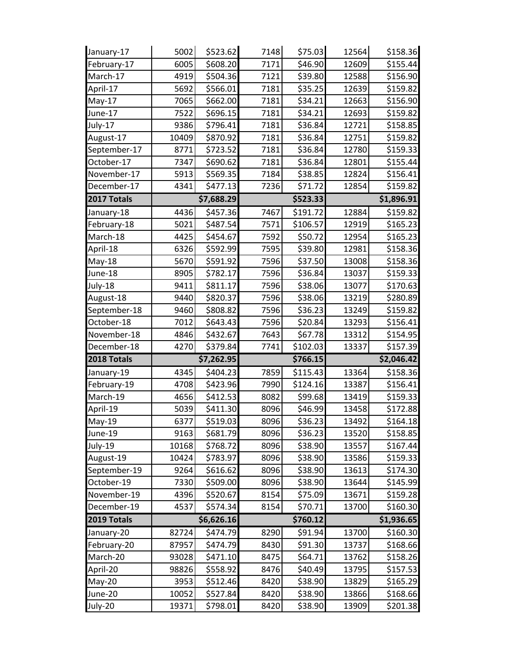| January-17   | 5002  | \$523.62   | 7148 | \$75.03  | 12564 | \$158.36   |
|--------------|-------|------------|------|----------|-------|------------|
| February-17  | 6005  | \$608.20   | 7171 | \$46.90  | 12609 | \$155.44   |
| March-17     | 4919  | \$504.36   | 7121 | \$39.80  | 12588 | \$156.90   |
| April-17     | 5692  | \$566.01   | 7181 | \$35.25  | 12639 | \$159.82   |
| May-17       | 7065  | \$662.00   | 7181 | \$34.21  | 12663 | \$156.90   |
| June-17      | 7522  | \$696.15   | 7181 | \$34.21  | 12693 | \$159.82   |
| July-17      | 9386  | \$796.41   | 7181 | \$36.84  | 12721 | \$158.85   |
| August-17    | 10409 | \$870.92   | 7181 | \$36.84  | 12751 | \$159.82   |
| September-17 | 8771  | \$723.52   | 7181 | \$36.84  | 12780 | \$159.33   |
| October-17   | 7347  | \$690.62   | 7181 | \$36.84  | 12801 | \$155.44   |
| November-17  | 5913  | \$569.35   | 7184 | \$38.85  | 12824 | \$156.41   |
| December-17  | 4341  | \$477.13   | 7236 | \$71.72  | 12854 | \$159.82   |
| 2017 Totals  |       | \$7,688.29 |      | \$523.33 |       | \$1,896.91 |
| January-18   | 4436  | \$457.36   | 7467 | \$191.72 | 12884 | \$159.82   |
| February-18  | 5021  | \$487.54   | 7571 | \$106.57 | 12919 | \$165.23   |
| March-18     | 4425  | \$454.67   | 7592 | \$50.72  | 12954 | \$165.23   |
| April-18     | 6326  | \$592.99   | 7595 | \$39.80  | 12981 | \$158.36   |
| May-18       | 5670  | \$591.92   | 7596 | \$37.50  | 13008 | \$158.36   |
| June-18      | 8905  | \$782.17   | 7596 | \$36.84  | 13037 | \$159.33   |
| July-18      | 9411  | \$811.17   | 7596 | \$38.06  | 13077 | \$170.63   |
| August-18    | 9440  | \$820.37   | 7596 | \$38.06  | 13219 | \$280.89   |
| September-18 | 9460  | \$808.82   | 7596 | \$36.23  | 13249 | \$159.82   |
| October-18   | 7012  | \$643.43   | 7596 | \$20.84  | 13293 | \$156.41   |
|              |       |            |      |          |       |            |
| November-18  | 4846  | \$432.67   | 7643 | \$67.78  | 13312 | \$154.95   |
| December-18  | 4270  | \$379.84   | 7741 | \$102.03 | 13337 | \$157.39   |
| 2018 Totals  |       | \$7,262.95 |      | \$766.15 |       | \$2,046.42 |
| January-19   | 4345  | \$404.23   | 7859 | \$115.43 | 13364 | \$158.36   |
| February-19  | 4708  | \$423.96   | 7990 | \$124.16 | 13387 | \$156.41   |
| March-19     | 4656  | \$412.53   | 8082 | \$99.68  | 13419 | \$159.33   |
| April-19     | 5039  | \$411.30   | 8096 | \$46.99  | 13458 | \$172.88   |
| May-19       | 6377  | \$519.03   | 8096 | \$36.23  | 13492 | \$164.18   |
| June-19      | 9163  | \$681.79   | 8096 | \$36.23  | 13520 | \$158.85   |
| July-19      | 10168 | \$768.72   | 8096 | \$38.90  | 13557 | \$167.44   |
| August-19    | 10424 | \$783.97   | 8096 | \$38.90  | 13586 | \$159.33   |
| September-19 | 9264  | \$616.62   | 8096 | \$38.90  | 13613 | \$174.30   |
| October-19   | 7330  | \$509.00   | 8096 | \$38.90  | 13644 | \$145.99   |
| November-19  | 4396  | \$520.67   | 8154 | \$75.09  | 13671 | \$159.28   |
| December-19  | 4537  | \$574.34   | 8154 | \$70.71  | 13700 | \$160.30   |
| 2019 Totals  |       | \$6,626.16 |      | \$760.12 |       | \$1,936.65 |
| January-20   | 82724 | \$474.79   | 8290 | \$91.94  | 13700 | \$160.30   |
| February-20  | 87957 | \$474.79   | 8430 | \$91.30  | 13737 | \$168.66   |
| March-20     | 93028 | \$471.10   | 8475 | \$64.71  | 13762 | \$158.26   |
| April-20     | 98826 | \$558.92   | 8476 | \$40.49  | 13795 | \$157.53   |
| May-20       | 3953  | \$512.46   | 8420 | \$38.90  | 13829 | \$165.29   |
| June-20      | 10052 | \$527.84   | 8420 | \$38.90  | 13866 | \$168.66   |